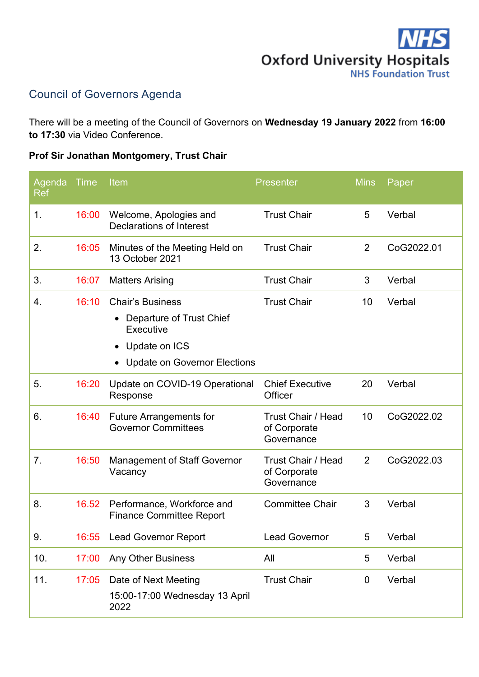

## Council of Governors Agenda

There will be a meeting of the Council of Governors on **Wednesday 19 January 2022** from **16:00 to 17:30** via Video Conference.

## **Prof Sir Jonathan Montgomery, Trust Chair**

| Agenda<br>Ref | <b>Time</b> | Item                                                                                                                     | <b>Presenter</b>                                        | <b>Mins</b>    | Paper      |
|---------------|-------------|--------------------------------------------------------------------------------------------------------------------------|---------------------------------------------------------|----------------|------------|
| 1.            | 16:00       | Welcome, Apologies and<br><b>Declarations of Interest</b>                                                                | <b>Trust Chair</b>                                      | 5              | Verbal     |
| 2.            | 16:05       | Minutes of the Meeting Held on<br>13 October 2021                                                                        | <b>Trust Chair</b>                                      | $\overline{2}$ | CoG2022.01 |
| 3.            | 16:07       | <b>Matters Arising</b>                                                                                                   | <b>Trust Chair</b>                                      | 3              | Verbal     |
| 4.            | 16:10       | <b>Chair's Business</b><br>Departure of Trust Chief<br>Executive<br>Update on ICS<br><b>Update on Governor Elections</b> | <b>Trust Chair</b>                                      | 10             | Verbal     |
| 5.            | 16:20       | Update on COVID-19 Operational<br>Response                                                                               | <b>Chief Executive</b><br>Officer                       | 20             | Verbal     |
| 6.            | 16:40       | <b>Future Arrangements for</b><br><b>Governor Committees</b>                                                             | <b>Trust Chair / Head</b><br>of Corporate<br>Governance | 10             | CoG2022.02 |
| 7.            | 16:50       | <b>Management of Staff Governor</b><br>Vacancy                                                                           | Trust Chair / Head<br>of Corporate<br>Governance        | 2              | CoG2022.03 |
| 8.            | 16.52       | Performance, Workforce and<br><b>Finance Committee Report</b>                                                            | <b>Committee Chair</b>                                  | 3              | Verbal     |
| 9.            | 16:55       | <b>Lead Governor Report</b>                                                                                              | <b>Lead Governor</b>                                    | 5              | Verbal     |
| 10.           | 17:00       | Any Other Business                                                                                                       | All                                                     | 5              | Verbal     |
| 11.           | 17:05       | Date of Next Meeting<br>15:00-17:00 Wednesday 13 April<br>2022                                                           | <b>Trust Chair</b>                                      | $\mathbf 0$    | Verbal     |